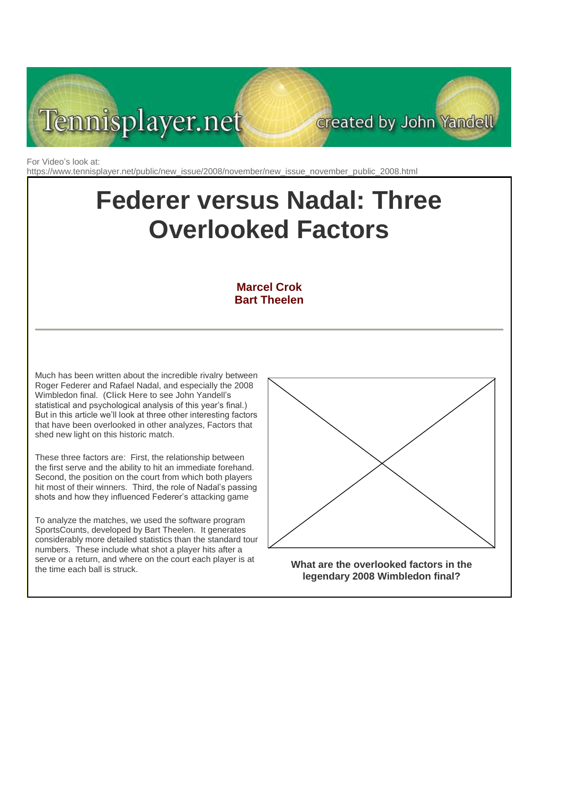

For Video's look at: https://www.tennisplayer.net/public/new\_issue/2008/november/new\_issue\_november\_public\_2008.html

# **Federer versus Nadal: Three Overlooked Factors**

## **Marcel Crok Bart Theelen**

Much has been written about the incredible rivalry between Roger Federer and Rafael Nadal, and especially the 2008 Wimbledon final. (**[Click Here](http://www.tennisplayer.net/members/strategy/john_yandell/wimbledon_2008_a_different_story/wimbledon_2008_a_different_story.html)** to see John Yandell's statistical and psychological analysis of this year's final.) But in this article we'll look at three other interesting factors that have been overlooked in other analyzes, Factors that shed new light on this historic match.

These three factors are: First, the relationship between the first serve and the ability to hit an immediate forehand. Second, the position on the court from which both players hit most of their winners. Third, the role of Nadal's passing shots and how they influenced Federer's attacking game

To analyze the matches, we used the software program SportsCounts, developed by Bart Theelen. It generates considerably more detailed statistics than the standard tour numbers. These include what shot a player hits after a serve or a return, and where on the court each player is at the time each ball is struck.



created by John Yandell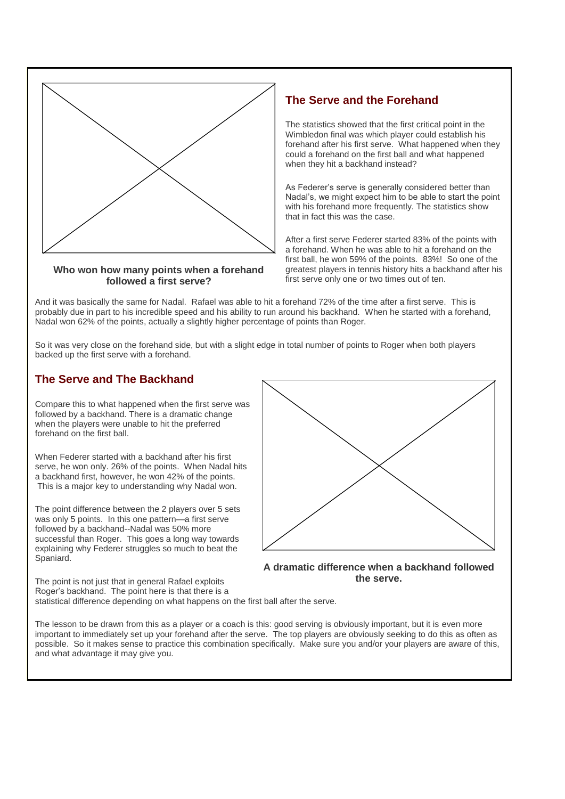

## **Who won how many points when a forehand followed a first serve?**

## **The Serve and the Forehand**

The statistics showed that the first critical point in the Wimbledon final was which player could establish his forehand after his first serve. What happened when they could a forehand on the first ball and what happened when they hit a backhand instead?

As Federer's serve is generally considered better than Nadal's, we might expect him to be able to start the point with his forehand more frequently. The statistics show that in fact this was the case.

After a first serve Federer started 83% of the points with a forehand. When he was able to hit a forehand on the first ball, he won 59% of the points. 83%! So one of the greatest players in tennis history hits a backhand after his first serve only one or two times out of ten.

And it was basically the same for Nadal. Rafael was able to hit a forehand 72% of the time after a first serve. This is probably due in part to his incredible speed and his ability to run around his backhand. When he started with a forehand, Nadal won 62% of the points, actually a slightly higher percentage of points than Roger.

So it was very close on the forehand side, but with a slight edge in total number of points to Roger when both players backed up the first serve with a forehand.

## **The Serve and The Backhand**

Compare this to what happened when the first serve was followed by a backhand. There is a dramatic change when the players were unable to hit the preferred forehand on the first ball.

When Federer started with a backhand after his first serve, he won only. 26% of the points. When Nadal hits a backhand first, however, he won 42% of the points. This is a major key to understanding why Nadal won.

The point difference between the 2 players over 5 sets was only 5 points. In this one pattern—a first serve followed by a backhand--Nadal was 50% more successful than Roger. This goes a long way towards explaining why Federer struggles so much to beat the Spaniard.



#### **A dramatic difference when a backhand followed the serve.**

The point is not just that in general Rafael exploits Roger's backhand. The point here is that there is a statistical difference depending on what happens on the first ball after the serve.

The lesson to be drawn from this as a player or a coach is this: good serving is obviously important, but it is even more important to immediately set up your forehand after the serve. The top players are obviously seeking to do this as often as possible. So it makes sense to practice this combination specifically. Make sure you and/or your players are aware of this, and what advantage it may give you.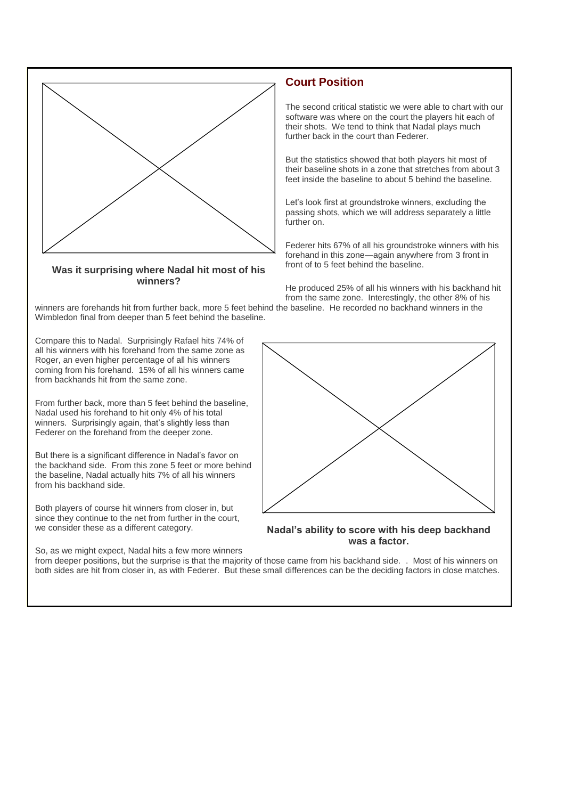

### **Was it surprising where Nadal hit most of his winners?**

# **Court Position**

The second critical statistic we were able to chart with our software was where on the court the players hit each of their shots. We tend to think that Nadal plays much further back in the court than Federer.

But the statistics showed that both players hit most of their baseline shots in a zone that stretches from about 3 feet inside the baseline to about 5 behind the baseline.

Let's look first at groundstroke winners, excluding the passing shots, which we will address separately a little further on.

Federer hits 67% of all his groundstroke winners with his forehand in this zone—again anywhere from 3 front in front of to 5 feet behind the baseline.

He produced 25% of all his winners with his backhand hit from the same zone. Interestingly, the other 8% of his

winners are forehands hit from further back, more 5 feet behind the baseline. He recorded no backhand winners in the Wimbledon final from deeper than 5 feet behind the baseline.

Compare this to Nadal. Surprisingly Rafael hits 74% of all his winners with his forehand from the same zone as Roger, an even higher percentage of all his winners coming from his forehand. 15% of all his winners came from backhands hit from the same zone.

From further back, more than 5 feet behind the baseline, Nadal used his forehand to hit only 4% of his total winners. Surprisingly again, that's slightly less than Federer on the forehand from the deeper zone.

But there is a significant difference in Nadal's favor on the backhand side. From this zone 5 feet or more behind the baseline, Nadal actually hits 7% of all his winners from his backhand side.

Both players of course hit winners from closer in, but since they continue to the net from further in the court, we consider these as a different category.

So, as we might expect, Nadal hits a few more winners



#### **Nadal's ability to score with his deep backhand was a factor.**

from deeper positions, but the surprise is that the majority of those came from his backhand side. . Most of his winners on both sides are hit from closer in, as with Federer. But these small differences can be the deciding factors in close matches.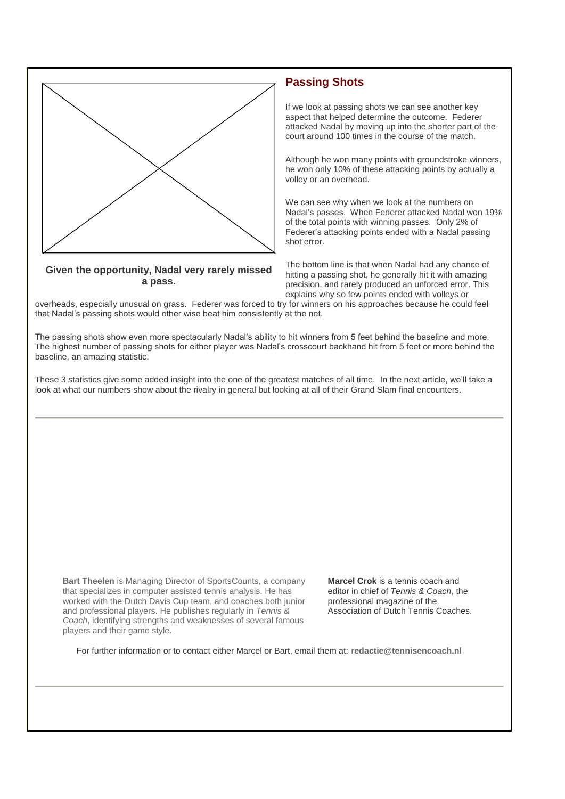

### **Given the opportunity, Nadal very rarely missed a pass.**

## **Passing Shots**

If we look at passing shots we can see another key aspect that helped determine the outcome. Federer attacked Nadal by moving up into the shorter part of the court around 100 times in the course of the match.

Although he won many points with groundstroke winners, he won only 10% of these attacking points by actually a volley or an overhead.

We can see why when we look at the numbers on Nadal's passes. When Federer attacked Nadal won 19% of the total points with winning passes. Only 2% of Federer's attacking points ended with a Nadal passing shot error.

The bottom line is that when Nadal had any chance of hitting a passing shot, he generally hit it with amazing precision, and rarely produced an unforced error. This explains why so few points ended with volleys or

overheads, especially unusual on grass. Federer was forced to try for winners on his approaches because he could feel that Nadal's passing shots would other wise beat him consistently at the net.

The passing shots show even more spectacularly Nadal's ability to hit winners from 5 feet behind the baseline and more. The highest number of passing shots for either player was Nadal's crosscourt backhand hit from 5 feet or more behind the baseline, an amazing statistic.

These 3 statistics give some added insight into the one of the greatest matches of all time. In the next article, we'll take a look at what our numbers show about the rivalry in general but looking at all of their Grand Slam final encounters.

**Bart Theelen** is Managing Director of SportsCounts, a company that specializes in computer assisted tennis analysis. He has worked with the Dutch Davis Cup team, and coaches both junior and professional players. He publishes regularly in *Tennis & Coach*, identifying strengths and weaknesses of several famous players and their game style.

**Marcel Crok** is a tennis coach and editor in chief of *Tennis & Coach*, the professional magazine of the Association of Dutch Tennis Coaches.

For further information or to contact either Marcel or Bart, email them at: **[redactie@tennisencoach.nl](mailto:redactie@tennisencoach.nl)**